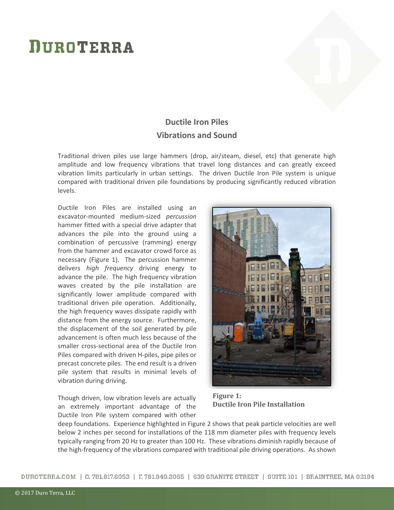## **DUROTERRA**



## **Ductile Iron Piles Vibrations and Sound**

Traditional driven piles use large hammers (drop, air/steam, diesel, etc) that generate high amplitude and low frequency vibrations that travel long distances and can greatly exceed vibration limits particularly in urban settings. The driven Ductile Iron Pile system is unique compared with traditional driven pile foundations by producing significantly reduced vibration levels.

Ductile Iron Piles are installed using an excavator-mounted medium-sized *percussion* hammer fitted with a special drive adapter that advances the pile into the ground using a combination of percussive (ramming) energy from the hammer and excavator crowd force as necessary (Figure 1). The percussion hammer delivers *high frequency* driving energy to advance the pile. The high frequency vibration waves created by the pile installation are significantly lower amplitude compared with traditional driven pile operation. Additionally, the high frequency waves dissipate rapidly with distance from the energy source. Furthermore, the displacement of the soil generated by pile advancement is often much less because of the smaller cross-sectional area of the Ductile Iron Piles compared with driven H-piles, pipe piles or precast concrete piles. The end result is a driven pile system that results in minimal levels of vibration during driving.

Though driven, low vibration levels are actually an extremely important advantage of the Ductile Iron Pile system compared with other



 **Figure 1: Ductile Iron Pile Installation** 

deep foundations. Experience highlighted in Figure 2 shows that peak particle velocities are well below 2 inches per second for installations of the 118 mm diameter piles with frequency levels typically ranging from 20 Hz to greater than 100 Hz. These vibrations diminish rapidly because of the high-frequency of the vibrations compared with traditional pile driving operations. As shown

DUROTERRA.COM | 0.781.817.6053 | F.781.849.2065 | 639 GRANITE STREET | SUITE 101 | BRAINTREE, MA 02184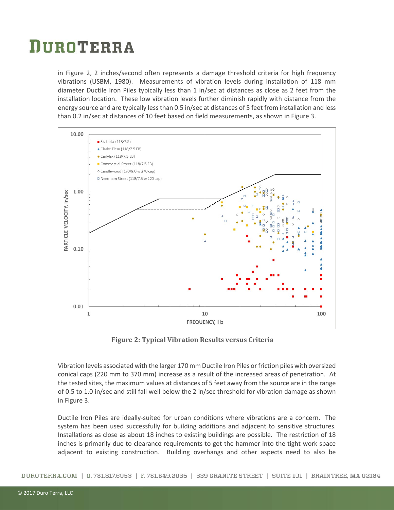## DUROTERRA

in Figure 2, 2 inches/second often represents a damage threshold criteria for high frequency vibrations (USBM, 1980). Measurements of vibration levels during installation of 118 mm diameter Ductile Iron Piles typically less than 1 in/sec at distances as close as 2 feet from the installation location. These low vibration levels further diminish rapidly with distance from the energy source and are typically less than 0.5 in/sec at distances of 5 feet from installation and less than 0.2 in/sec at distances of 10 feet based on field measurements, as shown in Figure 3.



**Figure 2: Typical Vibration Results versus Criteria**

Vibration levels associated with the larger 170 mm Ductile Iron Piles or friction piles with oversized conical caps (220 mm to 370 mm) increase as a result of the increased areas of penetration. At the tested sites, the maximum values at distances of 5 feet away from the source are in the range of 0.5 to 1.0 in/sec and still fall well below the 2 in/sec threshold for vibration damage as shown in Figure 3.

Ductile Iron Piles are ideally-suited for urban conditions where vibrations are a concern. The system has been used successfully for building additions and adjacent to sensitive structures. Installations as close as about 18 inches to existing buildings are possible. The restriction of 18 inches is primarily due to clearance requirements to get the hammer into the tight work space adjacent to existing construction. Building overhangs and other aspects need to also be

DUROTERRA.COM | 0.781.817.6053 | F.781.849.2065 | 639 GRANITE STREET | SUITE 101 | BRAINTREE, MA 02184